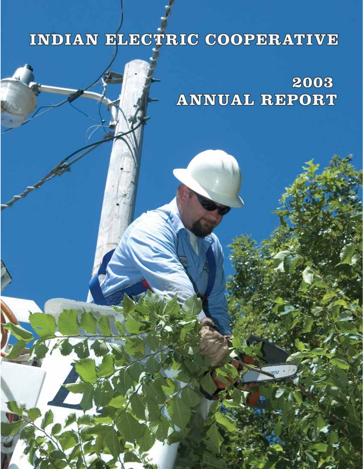## INDIAN ELECTRIC COOPERATIVE

2003 **ANNUAL REPORT**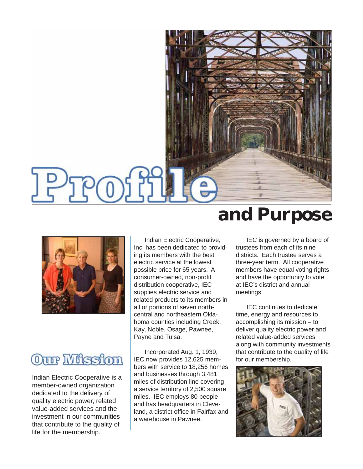

### Our Mission

Indian Electric Cooperative is a member-owned organization dedicated to the delivery of quality electric power, related value-added services and the investment in our communities that contribute to the quality of life for the membership.

Indian Electric Cooperative, Inc. has been dedicated to providing its members with the best electric service at the lowest possible price for 65 years. A consumer-owned, non-profit distribution cooperative, IEC supplies electric service and related products to its members in all or portions of seven northcentral and northeastern Oklahoma counties including Creek, Kay, Noble, Osage, Pawnee, Payne and Tulsa.

Incorporated Aug. 1, 1939, IEC now provides 12,625 members with service to 18,256 homes and businesses through 3,481 miles of distribution line covering a service territory of 2,500 square miles. IEC employs 80 people and has headquarters in Cleveland, a district office in Fairfax and a warehouse in Pawnee.

### **and Purpose**

IEC is governed by a board of trustees from each of its nine districts. Each trustee serves a three-year term. All cooperative members have equal voting rights and have the opportunity to vote at IEC's district and annual meetings.

IEC continues to dedicate time, energy and resources to accomplishing its mission – to deliver quality electric power and related value-added services along with community investments that contribute to the quality of life for our membership.

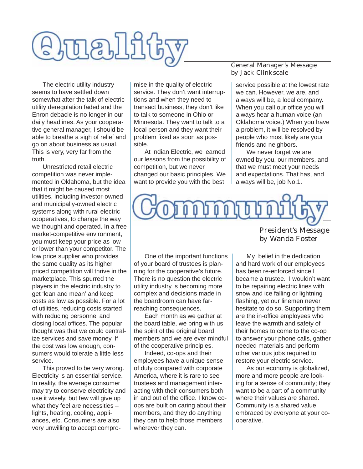

The electric utility industry seems to have settled down somewhat after the talk of electric utility deregulation faded and the Enron debacle is no longer in our daily headlines. As your cooperative general manager, I should be able to breathe a sigh of relief and go on about business as usual. This is very, very far from the truth.

Unrestricted retail electric competition was never implemented in Oklahoma, but the idea that it might be caused most utilities, including investor-owned and municipally-owned electric systems along with rural electric cooperatives, to change the way we thought and operated. In a free market-competitive environment, you must keep your price as low or lower than your competitor. The low price supplier who provides the same quality as its higher priced competition will thrive in the marketplace. This spurred the players in the electric industry to get 'lean and mean' and keep costs as low as possible. For a lot of utilities, reducing costs started with reducing personnel and closing local offices. The popular thought was that we could centralize services and save money. If the cost was low enough, consumers would tolerate a little less service.

This proved to be very wrong. Electricity is an essential service. In reality, the average consumer may try to conserve electricity and use it wisely, but few will give up what they feel are necessities – lights, heating, cooling, appliances, etc. Consumers are also very unwilling to accept compromise in the quality of electric service. They don't want interruptions and when they need to transact business, they don't like to talk to someone in Ohio or Minnesota. They want to talk to a local person and they want their problem fixed as soon as possible.

At Indian Electric, we learned our lessons from the possibility of competition, but we never changed our basic principles. We want to provide you with the best

#### General Manager's Message by Jack Clinkscale

service possible at the lowest rate we can. However, we are, and always will be, a local company. When you call our office you will always hear a human voice (an Oklahoma voice.) When you have a problem, it will be resolved by people who most likely are your friends and neighbors.

We never forget we are owned by you, our members, and that we must meet your needs and expectations. That has, and always will be, job No.1.



One of the important functions of your board of trustees is planning for the cooperative's future. There is no question the electric utility industry is becoming more complex and decisions made in the boardroom can have farreaching consequences.

Each month as we gather at the board table, we bring with us the spirit of the original board members and we are ever mindful of the cooperative principles.

Indeed, co-ops and their employees have a unique sense of duty compared with corporate America, where it is rare to see trustees and management interacting with their consumers both in and out of the office. I know coops are built on caring about their members, and they do anything they can to help those members wherever they can.

### President's Message by Wanda Foster

My belief in the dedication and hard work of our employees has been re-enforced since I became a trustee. I wouldn't want to be repairing electric lines with snow and ice falling or lightning flashing, yet our linemen never hesitate to do so. Supporting them are the in-office employees who leave the warmth and safety of their homes to come to the co-op to answer your phone calls, gather needed materials and perform other various jobs required to restore your electric service.

As our economy is globalized, more and more people are looking for a sense of community; they want to be a part of a community where their values are shared. Community is a shared value embraced by everyone at your cooperative.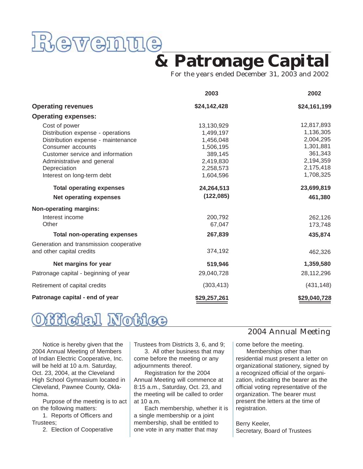

### **& Patronage Capital**

For the years ended December 31, 2003 and 2002

|                                                                                                                                                                                                 | 2003                                                                                   | 2002                                                                                   |
|-------------------------------------------------------------------------------------------------------------------------------------------------------------------------------------------------|----------------------------------------------------------------------------------------|----------------------------------------------------------------------------------------|
| <b>Operating revenues</b>                                                                                                                                                                       | \$24,142,428                                                                           | \$24,161,199                                                                           |
| <b>Operating expenses:</b>                                                                                                                                                                      |                                                                                        |                                                                                        |
| Cost of power<br>Distribution expense - operations<br>Distribution expense - maintenance<br>Consumer accounts<br>Customer service and information<br>Administrative and general<br>Depreciation | 13,130,929<br>1,499,197<br>1,456,048<br>1,506,195<br>389,145<br>2,419,830<br>2,258,573 | 12,817,893<br>1,136,305<br>2,004,295<br>1,301,881<br>361,343<br>2,194,359<br>2,175,418 |
| Interest on long-term debt                                                                                                                                                                      | 1,604,596                                                                              | 1,708,325                                                                              |
| <b>Total operating expenses</b><br><b>Net operating expenses</b>                                                                                                                                | 24,264,513<br>(122, 085)                                                               | 23,699,819<br>461,380                                                                  |
| Non-operating margins:                                                                                                                                                                          |                                                                                        |                                                                                        |
| Interest income<br>Other                                                                                                                                                                        | 200,792<br>67,047                                                                      | 262,126<br>173,748                                                                     |
| <b>Total non-operating expenses</b>                                                                                                                                                             | 267,839                                                                                | 435,874                                                                                |
| Generation and transmission cooperative<br>and other capital credits                                                                                                                            | 374,192                                                                                | 462,326                                                                                |
| Net margins for year                                                                                                                                                                            | 519,946                                                                                | 1,359,580                                                                              |
| Patronage capital - beginning of year                                                                                                                                                           | 29,040,728                                                                             | 28,112,296                                                                             |
| Retirement of capital credits                                                                                                                                                                   | (303, 413)                                                                             | (431, 148)                                                                             |
| Patronage capital - end of year                                                                                                                                                                 | \$29,257,261                                                                           | \$29,040,728                                                                           |



Notice is hereby given that the 2004 Annual Meeting of Members of Indian Electric Cooperative, Inc. will be held at 10 a.m. Saturday, Oct. 23, 2004, at the Cleveland High School Gymnasium located in Cleveland, Pawnee County, Oklahoma.

Purpose of the meeting is to act on the following matters:

1. Reports of Officers and Trustees;

2. Election of Cooperative

Trustees from Districts 3, 6, and 9; 3. All other business that may come before the meeting or any adjournments thereof.

Registration for the 2004 Annual Meeting will commence at 8:15 a.m., Saturday, Oct. 23, and the meeting will be called to order at 10 a.m.

Each membership, whether it is a single membership or a joint membership, shall be entitled to one vote in any matter that may

#### 2004 Annual Meeting

come before the meeting.

Memberships other than residential must present a letter on organizational stationery, signed by a recognized official of the organization, indicating the bearer as the official voting representative of the organization. The bearer must present the letters at the time of registration.

Berry Keeler, Secretary, Board of Trustees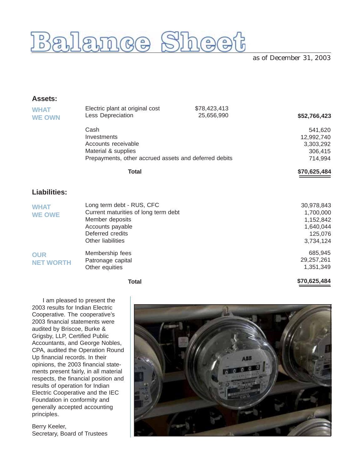

as of December 31, 2003

**\$70,625,484**

#### **Assets:**

| <b>WHAT</b><br><b>WE OWN</b>   | Electric plant at original cost<br>Less Depreciation                                                                                              | \$78,423,413<br>25,656,990 | \$52,766,423                                                              |
|--------------------------------|---------------------------------------------------------------------------------------------------------------------------------------------------|----------------------------|---------------------------------------------------------------------------|
|                                | Cash<br>Investments<br>Accounts receivable<br>Material & supplies<br>Prepayments, other accrued assets and deferred debits                        |                            | 541,620<br>12,992,740<br>3,303,292<br>306,415<br>714,994                  |
|                                | <b>Total</b>                                                                                                                                      |                            | \$70,625,484                                                              |
| <b>Liabilities:</b>            |                                                                                                                                                   |                            |                                                                           |
| <b>WHAT</b><br><b>WE OWE</b>   | Long term debt - RUS, CFC<br>Current maturities of long term debt<br>Member deposits<br>Accounts payable<br>Deferred credits<br>Other liabilities |                            | 30,978,843<br>1,700,000<br>1,152,842<br>1,640,044<br>125,076<br>3,734,124 |
| <b>OUR</b><br><b>NET WORTH</b> | Membership fees<br>Patronage capital<br>Other equities                                                                                            |                            | 685,945<br>29,257,261<br>1,351,349                                        |

**Total**

I am pleased to present the 2003 results for Indian Electric Cooperative. The cooperative's 2003 financial statements were audited by Briscoe, Burke & Grigsby, LLP, Certified Public Accountants, and George Nobles, CPA, audited the Operation Round Up financial records. In their opinions, the 2003 financial statements present fairly, in all material respects, the financial position and results of operation for Indian Electric Cooperative and the IEC Foundation in conformity and generally accepted accounting principles.

Berry Keeler, Secretary, Board of Trustees

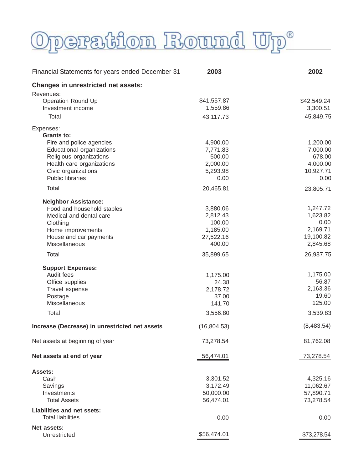# Operation Round Up®

| Financial Statements for years ended December 31 | 2003        | 2002        |
|--------------------------------------------------|-------------|-------------|
| <b>Changes in unrestricted net assets:</b>       |             |             |
| Revenues:                                        |             |             |
| <b>Operation Round Up</b>                        | \$41,557.87 | \$42,549.24 |
| Investment income                                | 1,559.86    | 3,300.51    |
| Total                                            | 43,117.73   | 45,849.75   |
| Expenses:                                        |             |             |
| Grants to:                                       |             |             |
| Fire and police agencies                         | 4,900.00    | 1,200.00    |
| Educational organizations                        | 7,771.83    | 7,000.00    |
| Religious organizations                          | 500.00      | 678.00      |
| Health care organizations                        | 2,000.00    | 4,000.00    |
| Civic organizations                              | 5,293.98    | 10,927.71   |
| <b>Public libraries</b>                          | 0.00        | 0.00        |
| Total                                            | 20,465.81   | 23,805.71   |
| <b>Neighbor Assistance:</b>                      |             |             |
| Food and household staples                       | 3,880.06    | 1,247.72    |
| Medical and dental care                          | 2,812.43    | 1,623.82    |
| Clothing                                         | 100.00      | 0.00        |
| Home improvements                                | 1,185.00    | 2,169.71    |
| House and car payments                           | 27,522.16   | 19,100.82   |
| Miscellaneous                                    | 400.00      | 2,845.68    |
| Total                                            | 35,899.65   | 26,987.75   |
| <b>Support Expenses:</b>                         |             |             |
| Audit fees                                       | 1,175.00    | 1,175.00    |
| Office supplies                                  | 24.38       | 56.87       |
| Travel expense                                   | 2,178.72    | 2,163.36    |
| Postage                                          | 37.00       | 19.60       |
| Miscellaneous                                    | 141.70      | 125.00      |
| Total                                            | 3,556.80    | 3,539.83    |
| Increase (Decrease) in unrestricted net assets   | (16,804.53) | (8,483.54)  |
| Net assets at beginning of year                  | 73,278.54   | 81,762.08   |
| Net assets at end of year                        | 56,474.01   | 73,278.54   |
| Assets:                                          |             |             |
| Cash                                             | 3,301.52    | 4,325.16    |
| Savings                                          | 3,172.49    | 11,062.67   |
| Investments                                      | 50,000.00   | 57,890.71   |
| <b>Total Assets</b>                              | 56,474.01   | 73,278.54   |
| <b>Liabilities and net ssets:</b>                |             |             |
| <b>Total liabilities</b>                         | 0.00        | 0.00        |
| Net assets:                                      |             |             |
| Unrestricted                                     | \$56,474.01 | \$73,278.54 |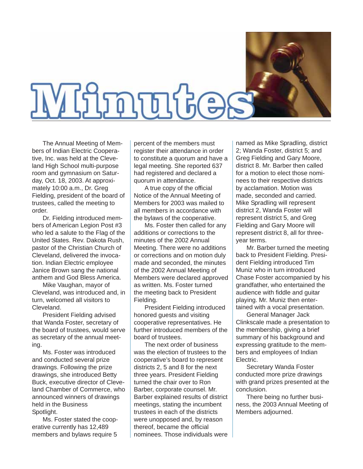

The Annual Meeting of Members of Indian Electric Cooperative, Inc. was held at the Cleveland High School multi-purpose room and gymnasium on Saturday, Oct. 18, 2003. At approximately 10:00 a.m., Dr. Greg Fielding, president of the board of trustees, called the meeting to order.

Dr. Fielding introduced members of American Legion Post #3 who led a salute to the Flag of the United States. Rev. Dakota Rush, pastor of the Christian Church of Cleveland, delivered the invocation. Indian Electric employee Janice Brown sang the national anthem and God Bless America.

Mike Vaughan, mayor of Cleveland, was introduced and, in turn, welcomed all visitors to Cleveland.

President Fielding advised that Wanda Foster, secretary of the board of trustees, would serve as secretary of the annual meeting.

Ms. Foster was introduced and conducted several prize drawings. Following the prize drawings, she introduced Betty Buck, executive director of Cleveland Chamber of Commerce, who announced winners of drawings held in the Business Spotlight.

Ms. Foster stated the cooperative currently has 12,489 members and bylaws require 5

percent of the members must register their attendance in order to constitute a quorum and have a legal meeting. She reported 637 had registered and declared a quorum in attendance.

A true copy of the official Notice of the Annual Meeting of Members for 2003 was mailed to all members in accordance with the bylaws of the cooperative.

Ms. Foster then called for any additions or corrections to the minutes of the 2002 Annual Meeting. There were no additions or corrections and on motion duly made and seconded, the minutes of the 2002 Annual Meeting of Members were declared approved as written. Ms. Foster turned the meeting back to President Fielding.

President Fielding introduced honored guests and visiting cooperative representatives. He further introduced members of the board of trustees.

The next order of business was the election of trustees to the cooperative's board to represent districts 2, 5 and 8 for the next three years. President Fielding turned the chair over to Ron Barber, corporate counsel. Mr. Barber explained results of district meetings, stating the incumbent trustees in each of the districts were unopposed and, by reason thereof, became the official nominees. Those individuals were

named as Mike Spradling, district 2; Wanda Foster, district 5; and Greg Fielding and Gary Moore, district 8. Mr. Barber then called for a motion to elect those nominees to their respective districts by acclamation. Motion was made, seconded and carried. Mike Spradling will represent district 2, Wanda Foster will represent district 5, and Greg Fielding and Gary Moore will represent district 8, all for threeyear terms.

Mr. Barber turned the meeting back to President Fielding. President Fielding introduced Tim Muniz who in turn introduced Chase Foster accompanied by his grandfather, who entertained the audience with fiddle and guitar playing. Mr. Muniz then entertained with a vocal presentation.

General Manager Jack Clinkscale made a presentation to the membership, giving a brief summary of his background and expressing gratitude to the members and employees of Indian Electric.

Secretary Wanda Foster conducted more prize drawings with grand prizes presented at the conclusion.

There being no further business, the 2003 Annual Meeting of Members adjourned.